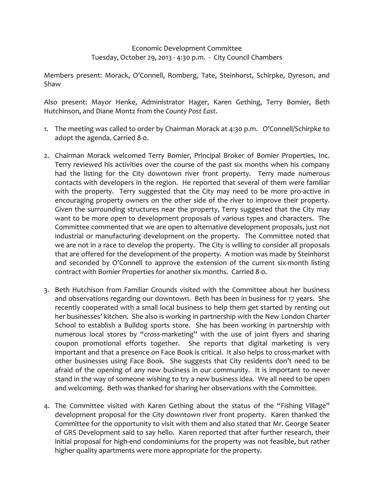## Economic Development Committee Tuesday, October 29, 2013 ‐ 4:30 p.m. ‐ City Council Chambers

Members present: Morack, O'Connell, Romberg, Tate, Steinhorst, Schirpke, Dyreson, and Shaw

Also present: Mayor Henke, Administrator Hager, Karen Gething, Terry Bomier, Beth Hutchinson, and Diane Montz from the *County Post East*.

- 1. The meeting was called to order by Chairman Morack at 4:30 p.m. O'Connell/Schirpke to adopt the agenda. Carried 8‐0.
- 2. Chairman Morack welcomed Terry Bomier, Principal Broker of Bomier Properties, Inc. Terry reviewed his activities over the course of the past six months when his company had the listing for the City downtown river front property. Terry made numerous contacts with developers in the region. He reported that several of them were familiar with the property. Terry suggested that the City may need to be more pro-active in encouraging property owners on the other side of the river to improve their property. Given the surrounding structures near the property, Terry suggested that the City may want to be more open to development proposals of various types and characters. The Committee commented that we are open to alternative development proposals, just not industrial or manufacturing development on the property. The Committee noted that we are not in a race to develop the property. The City is willing to consider all proposals that are offered for the development of the property. A motion was made by Steinhorst and seconded by O'Connell to approve the extension of the current six-month listing contract with Bomier Properties for another six months. Carried 8‐0.
- 3. Beth Hutchison from Familiar Grounds visited with the Committee about her business and observations regarding our downtown. Beth has been in business for 17 years. She recently cooperated with a small local business to help them get started by renting out her businesses' kitchen. She also is working in partnership with the New London Charter School to establish a Bulldog sports store. She has been working in partnership with numerous local stores by "cross-marketing" with the use of joint flyers and sharing coupon promotional efforts together. She reports that digital marketing is very important and that a presence on Face Book is critical. It also helps to cross-market with other businesses using Face Book. She suggests that City residents don't need to be afraid of the opening of any new business in our community. It is important to never stand in the way of someone wishing to try a new business idea. We all need to be open and welcoming. Beth was thanked for sharing her observations with the Committee.
- 4. The Committee visited with Karen Gething about the status of the "Fishing Village" development proposal for the City downtown river front property. Karen thanked the Committee for the opportunity to visit with them and also stated that Mr. George Seater of GRS Development said to say hello. Karen reported that after further research, their initial proposal for high‐end condominiums for the property was not feasible, but rather higher quality apartments were more appropriate for the property.